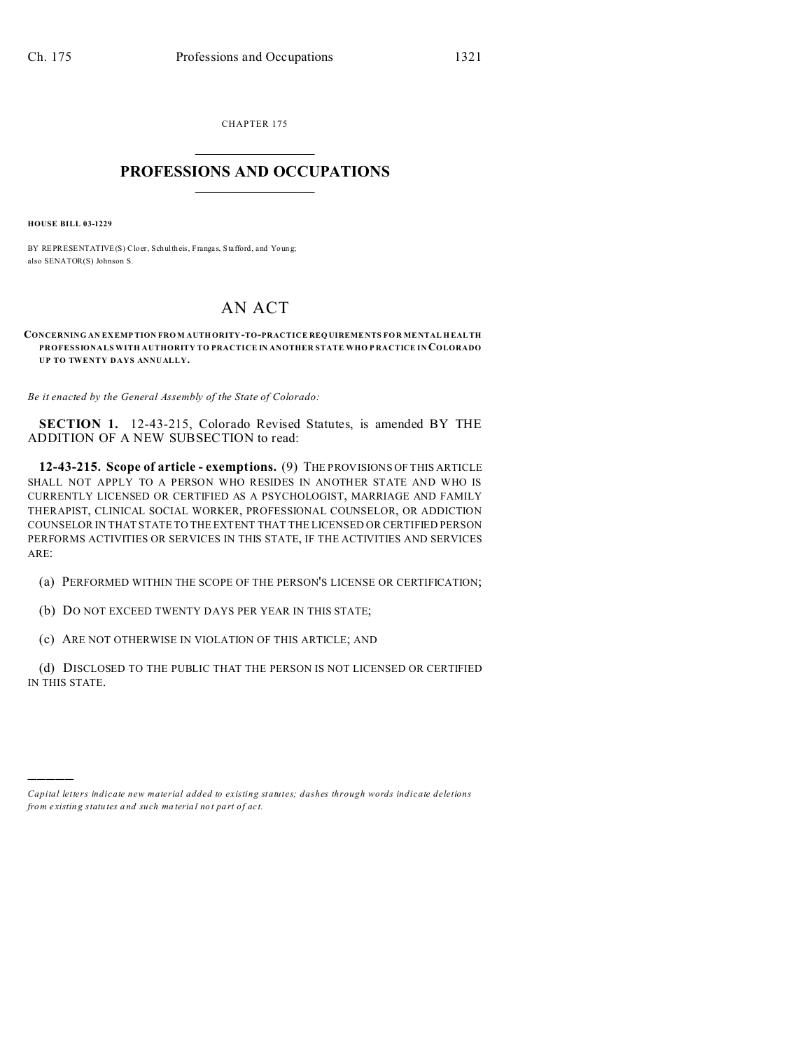CHAPTER 175  $\overline{\phantom{a}}$  , where  $\overline{\phantom{a}}$ 

## **PROFESSIONS AND OCCUPATIONS**  $\frac{1}{2}$  ,  $\frac{1}{2}$  ,  $\frac{1}{2}$  ,  $\frac{1}{2}$  ,  $\frac{1}{2}$  ,  $\frac{1}{2}$  ,  $\frac{1}{2}$

**HOUSE BILL 03-1229**

)))))

BY REPRESENTATIVE(S) Cloer, Schultheis, Frangas, Stafford, and Young; also SENATOR(S) Johnson S.

## AN ACT

**CONCERNING AN EX EMP TION FRO M AUTH ORITY-TO-PRACTICE REQUIREME NTS FOR ME NTAL H EALTH PROFESSIONALS WITH AUTHORITY TO PRACTICE IN ANOTHER STATE WHO P RACTICE IN COLORADO UP TO TWENTY DAYS ANNUALLY.**

*Be it enacted by the General Assembly of the State of Colorado:*

**SECTION 1.** 12-43-215, Colorado Revised Statutes, is amended BY THE ADDITION OF A NEW SUBSECTION to read:

**12-43-215. Scope of article - exemptions.** (9) THE PROVISIONS OF THIS ARTICLE SHALL NOT APPLY TO A PERSON WHO RESIDES IN ANOTHER STATE AND WHO IS CURRENTLY LICENSED OR CERTIFIED AS A PSYCHOLOGIST, MARRIAGE AND FAMILY THERAPIST, CLINICAL SOCIAL WORKER, PROFESSIONAL COUNSELOR, OR ADDICTION COUNSELOR IN THAT STATE TO THE EXTENT THAT THE LICENSED OR CERTIFIED PERSON PERFORMS ACTIVITIES OR SERVICES IN THIS STATE, IF THE ACTIVITIES AND SERVICES ARE:

(a) PERFORMED WITHIN THE SCOPE OF THE PERSON'S LICENSE OR CERTIFICATION;

(b) DO NOT EXCEED TWENTY DAYS PER YEAR IN THIS STATE;

(c) ARE NOT OTHERWISE IN VIOLATION OF THIS ARTICLE; AND

(d) DISCLOSED TO THE PUBLIC THAT THE PERSON IS NOT LICENSED OR CERTIFIED IN THIS STATE.

*Capital letters indicate new material added to existing statutes; dashes through words indicate deletions from e xistin g statu tes a nd such ma teria l no t pa rt of ac t.*